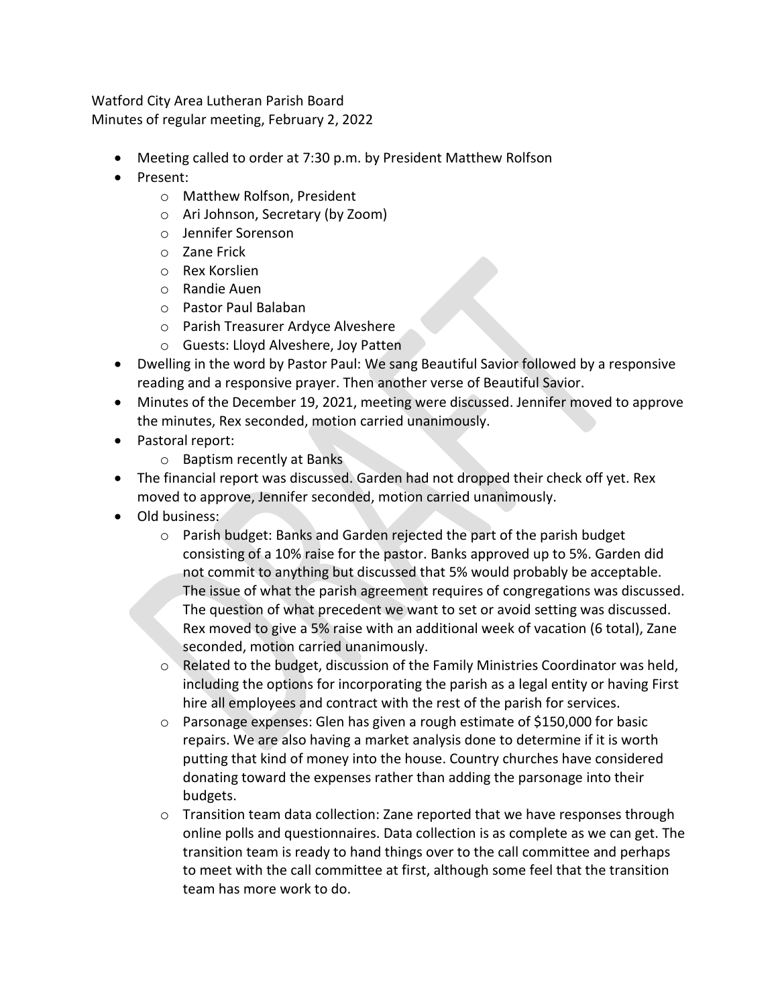Watford City Area Lutheran Parish Board Minutes of regular meeting, February 2, 2022

- Meeting called to order at 7:30 p.m. by President Matthew Rolfson
- Present:
	- o Matthew Rolfson, President
	- o Ari Johnson, Secretary (by Zoom)
	- o Jennifer Sorenson
	- o Zane Frick
	- o Rex Korslien
	- o Randie Auen
	- o Pastor Paul Balaban
	- o Parish Treasurer Ardyce Alveshere
	- o Guests: Lloyd Alveshere, Joy Patten
- Dwelling in the word by Pastor Paul: We sang Beautiful Savior followed by a responsive reading and a responsive prayer. Then another verse of Beautiful Savior.
- Minutes of the December 19, 2021, meeting were discussed. Jennifer moved to approve the minutes, Rex seconded, motion carried unanimously.
- Pastoral report:
	- o Baptism recently at Banks
- The financial report was discussed. Garden had not dropped their check off yet. Rex moved to approve, Jennifer seconded, motion carried unanimously.
- Old business:
	- o Parish budget: Banks and Garden rejected the part of the parish budget consisting of a 10% raise for the pastor. Banks approved up to 5%. Garden did not commit to anything but discussed that 5% would probably be acceptable. The issue of what the parish agreement requires of congregations was discussed. The question of what precedent we want to set or avoid setting was discussed. Rex moved to give a 5% raise with an additional week of vacation (6 total), Zane seconded, motion carried unanimously.
	- $\circ$  Related to the budget, discussion of the Family Ministries Coordinator was held, including the options for incorporating the parish as a legal entity or having First hire all employees and contract with the rest of the parish for services.
	- $\circ$  Parsonage expenses: Glen has given a rough estimate of \$150,000 for basic repairs. We are also having a market analysis done to determine if it is worth putting that kind of money into the house. Country churches have considered donating toward the expenses rather than adding the parsonage into their budgets.
	- $\circ$  Transition team data collection: Zane reported that we have responses through online polls and questionnaires. Data collection is as complete as we can get. The transition team is ready to hand things over to the call committee and perhaps to meet with the call committee at first, although some feel that the transition team has more work to do.